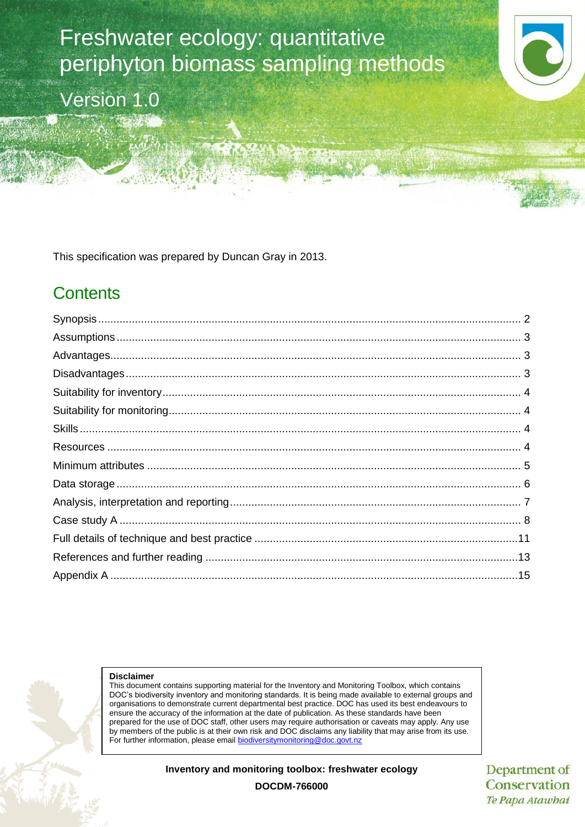# Freshwater ecology: quantitative periphyton biomass sampling methods

Version 1.0

This specification was prepared by Duncan Gray in 2013.

# **Contents**



#### **Disclaimer**

This document contains supporting material for the Inventory and Monitoring Toolbox, which contains DOC's biodiversity inventory and monitoring standards. It is being made available to external groups and organisations to demonstrate current departmental best practice. DOC has used its best endeavours to ensure the accuracy of the information at the date of publication. As these standards have been prepared for the use of DOC staff, other users may require authorisation or caveats may apply. Any use by members of the public is at their own risk and DOC disclaims any liability that may arise from its use. For further information, please email [biodiversitymonitoring@doc.govt.nz](mailto:biodiversitymonitoring@doc.govt.nz)

**Inventory and monitoring toolbox: freshwater ecology**

Department of Conservation Te Papa Atawhai

**DOCDM-766000**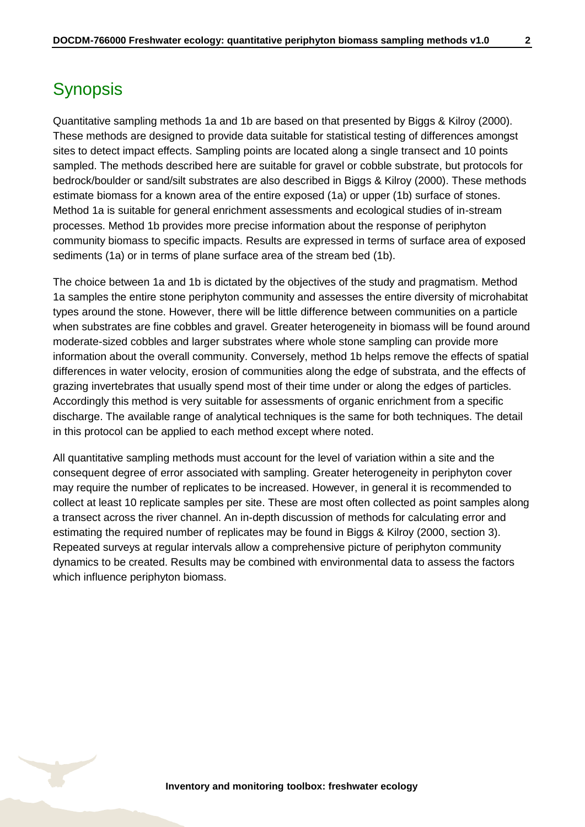<span id="page-1-0"></span>Quantitative sampling methods 1a and 1b are based on that presented by Biggs & Kilroy (2000). These methods are designed to provide data suitable for statistical testing of differences amongst sites to detect impact effects. Sampling points are located along a single transect and 10 points sampled. The methods described here are suitable for gravel or cobble substrate, but protocols for bedrock/boulder or sand/silt substrates are also described in Biggs & Kilroy (2000). These methods estimate biomass for a known area of the entire exposed (1a) or upper (1b) surface of stones. Method 1a is suitable for general enrichment assessments and ecological studies of in-stream processes. Method 1b provides more precise information about the response of periphyton community biomass to specific impacts. Results are expressed in terms of surface area of exposed sediments (1a) or in terms of plane surface area of the stream bed (1b).

The choice between 1a and 1b is dictated by the objectives of the study and pragmatism. Method 1a samples the entire stone periphyton community and assesses the entire diversity of microhabitat types around the stone. However, there will be little difference between communities on a particle when substrates are fine cobbles and gravel. Greater heterogeneity in biomass will be found around moderate-sized cobbles and larger substrates where whole stone sampling can provide more information about the overall community. Conversely, method 1b helps remove the effects of spatial differences in water velocity, erosion of communities along the edge of substrata, and the effects of grazing invertebrates that usually spend most of their time under or along the edges of particles. Accordingly this method is very suitable for assessments of organic enrichment from a specific discharge. The available range of analytical techniques is the same for both techniques. The detail in this protocol can be applied to each method except where noted.

All quantitative sampling methods must account for the level of variation within a site and the consequent degree of error associated with sampling. Greater heterogeneity in periphyton cover may require the number of replicates to be increased. However, in general it is recommended to collect at least 10 replicate samples per site. These are most often collected as point samples along a transect across the river channel. An in-depth discussion of methods for calculating error and estimating the required number of replicates may be found in Biggs & Kilroy (2000, section 3). Repeated surveys at regular intervals allow a comprehensive picture of periphyton community dynamics to be created. Results may be combined with environmental data to assess the factors which influence periphyton biomass.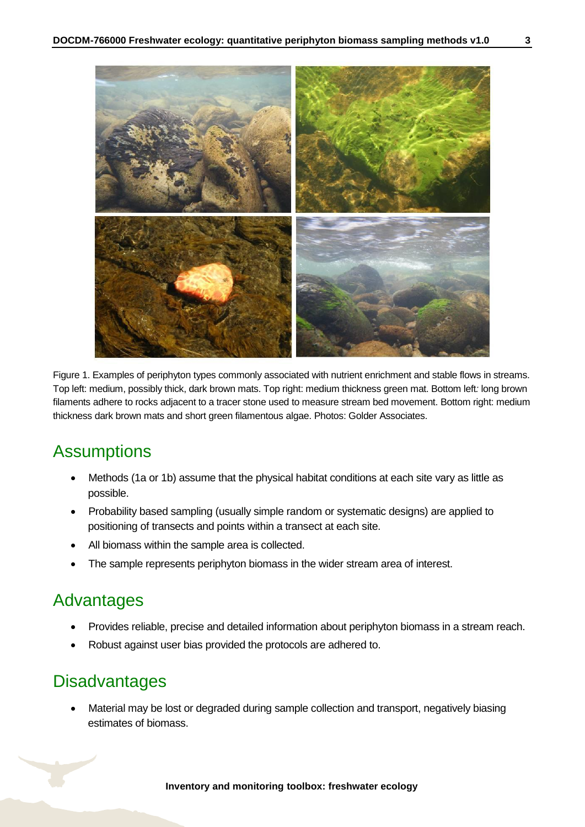Figure 1. Examples of periphyton types commonly associated with nutrient enrichment and stable flows in streams. Top left: medium, possibly thick, dark brown mats. Top right: medium thickness green mat. Bottom left*:* long brown filaments adhere to rocks adjacent to a tracer stone used to measure stream bed movement. Bottom right: medium thickness dark brown mats and short green filamentous algae. Photos: Golder Associates.

### <span id="page-2-0"></span>**Assumptions**

- Methods (1a or 1b) assume that the physical habitat conditions at each site vary as little as possible.
- Probability based sampling (usually simple random or systematic designs) are applied to positioning of transects and points within a transect at each site.
- All biomass within the sample area is collected.
- The sample represents periphyton biomass in the wider stream area of interest.

# <span id="page-2-1"></span>Advantages

- Provides reliable, precise and detailed information about periphyton biomass in a stream reach.
- Robust against user bias provided the protocols are adhered to.

### <span id="page-2-2"></span>**Disadvantages**

 Material may be lost or degraded during sample collection and transport, negatively biasing estimates of biomass.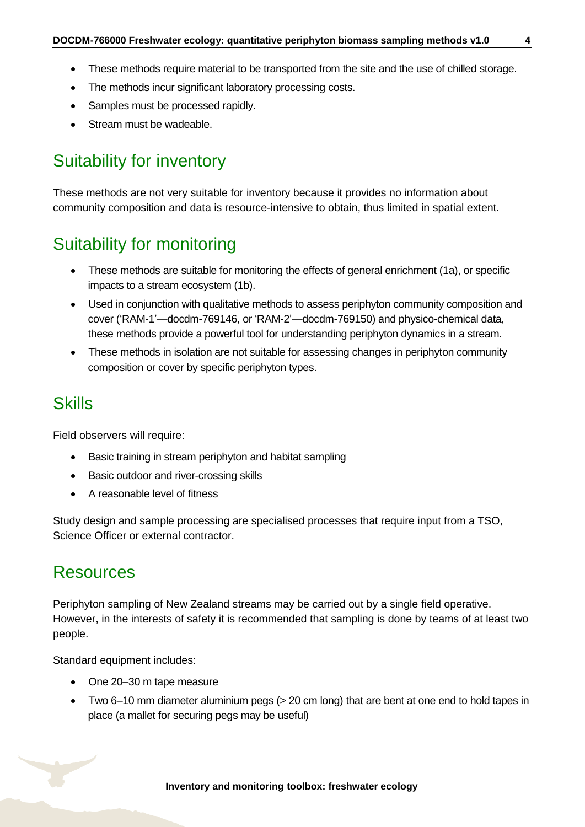- These methods require material to be transported from the site and the use of chilled storage.
- The methods incur significant laboratory processing costs.
- Samples must be processed rapidly.
- Stream must be wadeable.

# <span id="page-3-0"></span>Suitability for inventory

These methods are not very suitable for inventory because it provides no information about community composition and data is resource-intensive to obtain, thus limited in spatial extent.

# <span id="page-3-1"></span>Suitability for monitoring

- These methods are suitable for monitoring the effects of general enrichment (1a), or specific impacts to a stream ecosystem (1b).
- Used in conjunction with qualitative methods to assess periphyton community composition and cover ('RAM-1'—docdm-769146, or 'RAM-2'—docdm-769150) and physico-chemical data, these methods provide a powerful tool for understanding periphyton dynamics in a stream.
- These methods in isolation are not suitable for assessing changes in periphyton community composition or cover by specific periphyton types.

### <span id="page-3-2"></span>**Skills**

Field observers will require:

- Basic training in stream periphyton and habitat sampling
- Basic outdoor and river-crossing skills
- A reasonable level of fitness

Study design and sample processing are specialised processes that require input from a TSO, Science Officer or external contractor.

### <span id="page-3-3"></span>Resources

Periphyton sampling of New Zealand streams may be carried out by a single field operative. However, in the interests of safety it is recommended that sampling is done by teams of at least two people.

Standard equipment includes:

- One 20-30 m tape measure
- Two 6–10 mm diameter aluminium pegs (> 20 cm long) that are bent at one end to hold tapes in place (a mallet for securing pegs may be useful)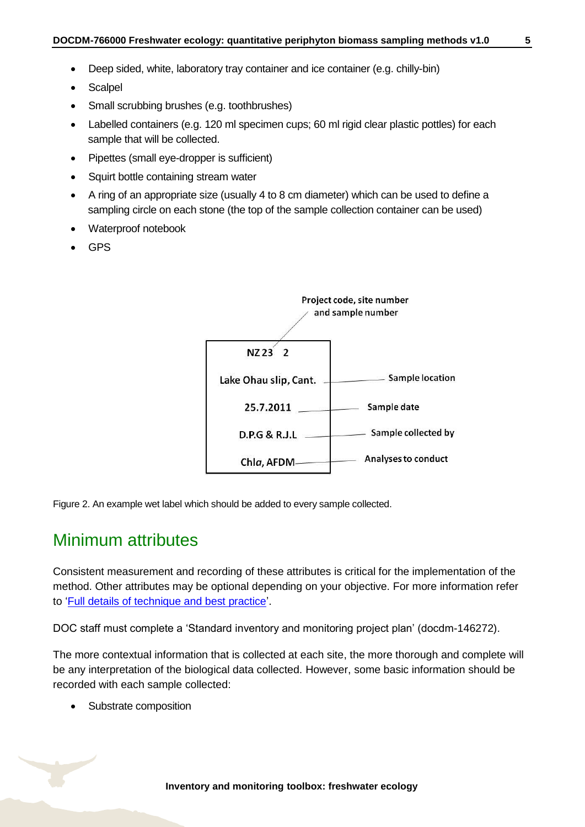- Deep sided, white, laboratory tray container and ice container (e.g. chilly-bin)
- Scalpel
- Small scrubbing brushes (e.g. toothbrushes)
- Labelled containers (e.g. 120 ml specimen cups; 60 ml rigid clear plastic pottles) for each sample that will be collected.
- Pipettes (small eye-dropper is sufficient)
- Squirt bottle containing stream water
- A ring of an appropriate size (usually 4 to 8 cm diameter) which can be used to define a sampling circle on each stone (the top of the sample collection container can be used)
- Waterproof notebook
- GPS



Figure 2. An example wet label which should be added to every sample collected.

### <span id="page-4-0"></span>Minimum attributes

Consistent measurement and recording of these attributes is critical for the implementation of the method. Other attributes may be optional depending on your objective. For more information refer to ['Full details of technique and best practice'](#page-10-0).

DOC staff must complete a 'Standard inventory and monitoring project plan' (docdm-146272).

The more contextual information that is collected at each site, the more thorough and complete will be any interpretation of the biological data collected. However, some basic information should be recorded with each sample collected:

• Substrate composition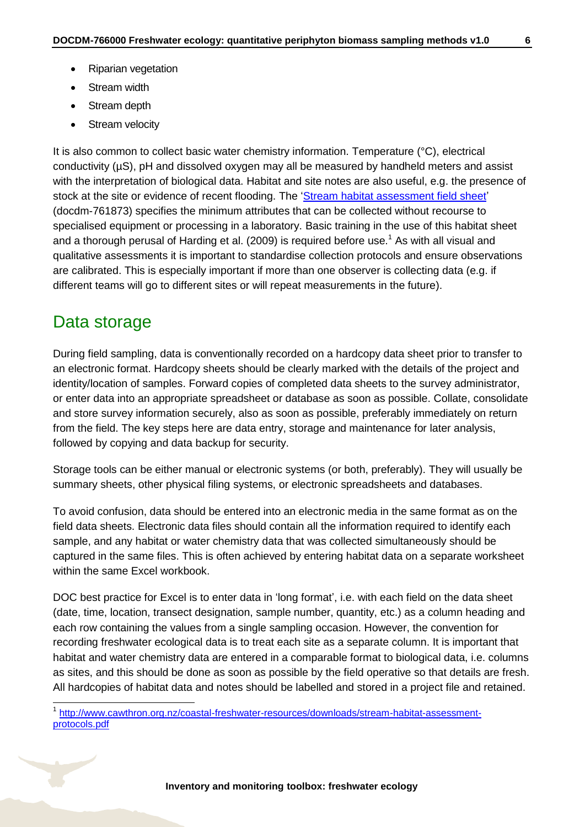- Riparian vegetation
- Stream width
- Stream depth
- Stream velocity

It is also common to collect basic water chemistry information. Temperature (°C), electrical conductivity (µS), pH and dissolved oxygen may all be measured by handheld meters and assist with the interpretation of biological data. Habitat and site notes are also useful, e.g. the presence of stock at the site or evidence of recent flooding. The ['Stream habitat assessment field sheet'](http://www.doc.govt.nz/Documents/science-and-technical/inventory-monitoring/im-toolbox-freshwater-ecology-stream-habitat-assessment-field-sheet.pdf) (docdm-761873) specifies the minimum attributes that can be collected without recourse to specialised equipment or processing in a laboratory. Basic training in the use of this habitat sheet and a thorough perusal of Harding et al. (2009) is required before use.<sup>1</sup> As with all visual and qualitative assessments it is important to standardise collection protocols and ensure observations are calibrated. This is especially important if more than one observer is collecting data (e.g. if different teams will go to different sites or will repeat measurements in the future).

### <span id="page-5-0"></span>Data storage

During field sampling, data is conventionally recorded on a hardcopy data sheet prior to transfer to an electronic format. Hardcopy sheets should be clearly marked with the details of the project and identity/location of samples. Forward copies of completed data sheets to the survey administrator, or enter data into an appropriate spreadsheet or database as soon as possible. Collate, consolidate and store survey information securely, also as soon as possible, preferably immediately on return from the field. The key steps here are data entry, storage and maintenance for later analysis, followed by copying and data backup for security.

Storage tools can be either manual or electronic systems (or both, preferably). They will usually be summary sheets, other physical filing systems, or electronic spreadsheets and databases.

To avoid confusion, data should be entered into an electronic media in the same format as on the field data sheets. Electronic data files should contain all the information required to identify each sample, and any habitat or water chemistry data that was collected simultaneously should be captured in the same files. This is often achieved by entering habitat data on a separate worksheet within the same Excel workbook.

DOC best practice for Excel is to enter data in 'long format', i.e. with each field on the data sheet (date, time, location, transect designation, sample number, quantity, etc.) as a column heading and each row containing the values from a single sampling occasion. However, the convention for recording freshwater ecological data is to treat each site as a separate column. It is important that habitat and water chemistry data are entered in a comparable format to biological data, i.e. columns as sites, and this should be done as soon as possible by the field operative so that details are fresh. All hardcopies of habitat data and notes should be labelled and stored in a project file and retained.

 1 [http://www.cawthron.org.nz/coastal-freshwater-resources/downloads/stream-habitat-assessment](http://www.cawthron.org.nz/coastal-freshwater-resources/downloads/stream-habitat-assessment-protocols.pdf)[protocols.pdf](http://www.cawthron.org.nz/coastal-freshwater-resources/downloads/stream-habitat-assessment-protocols.pdf)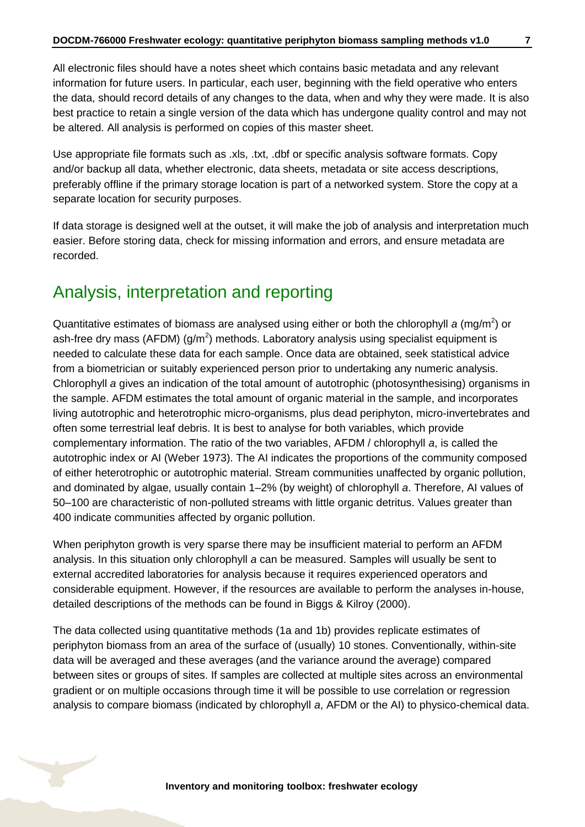All electronic files should have a notes sheet which contains basic metadata and any relevant information for future users. In particular, each user, beginning with the field operative who enters the data, should record details of any changes to the data, when and why they were made. It is also best practice to retain a single version of the data which has undergone quality control and may not be altered. All analysis is performed on copies of this master sheet.

Use appropriate file formats such as .xls, .txt, .dbf or specific analysis software formats. Copy and/or backup all data, whether electronic, data sheets, metadata or site access descriptions, preferably offline if the primary storage location is part of a networked system. Store the copy at a separate location for security purposes.

If data storage is designed well at the outset, it will make the job of analysis and interpretation much easier. Before storing data, check for missing information and errors, and ensure metadata are recorded.

# <span id="page-6-0"></span>Analysis, interpretation and reporting

Quantitative estimates of biomass are analysed using either or both the chlorophyll a (mg/m<sup>2</sup>) or ash-free dry mass (AFDM) ( $g/m<sup>2</sup>$ ) methods. Laboratory analysis using specialist equipment is needed to calculate these data for each sample. Once data are obtained, seek statistical advice from a biometrician or suitably experienced person prior to undertaking any numeric analysis. Chlorophyll *a* gives an indication of the total amount of autotrophic (photosynthesising) organisms in the sample. AFDM estimates the total amount of organic material in the sample, and incorporates living autotrophic and heterotrophic micro-organisms, plus dead periphyton, micro-invertebrates and often some terrestrial leaf debris. It is best to analyse for both variables, which provide complementary information. The ratio of the two variables, AFDM / chlorophyll *a*, is called the autotrophic index or AI (Weber 1973). The AI indicates the proportions of the community composed of either heterotrophic or autotrophic material. Stream communities unaffected by organic pollution, and dominated by algae, usually contain 1–2% (by weight) of chlorophyll *a*. Therefore, AI values of 50–100 are characteristic of non-polluted streams with little organic detritus. Values greater than 400 indicate communities affected by organic pollution.

When periphyton growth is very sparse there may be insufficient material to perform an AFDM analysis. In this situation only chlorophyll *a* can be measured. Samples will usually be sent to external accredited laboratories for analysis because it requires experienced operators and considerable equipment. However, if the resources are available to perform the analyses in-house, detailed descriptions of the methods can be found in Biggs & Kilroy (2000).

The data collected using quantitative methods (1a and 1b) provides replicate estimates of periphyton biomass from an area of the surface of (usually) 10 stones. Conventionally, within-site data will be averaged and these averages (and the variance around the average) compared between sites or groups of sites. If samples are collected at multiple sites across an environmental gradient or on multiple occasions through time it will be possible to use correlation or regression analysis to compare biomass (indicated by chlorophyll *a*, AFDM or the AI) to physico-chemical data.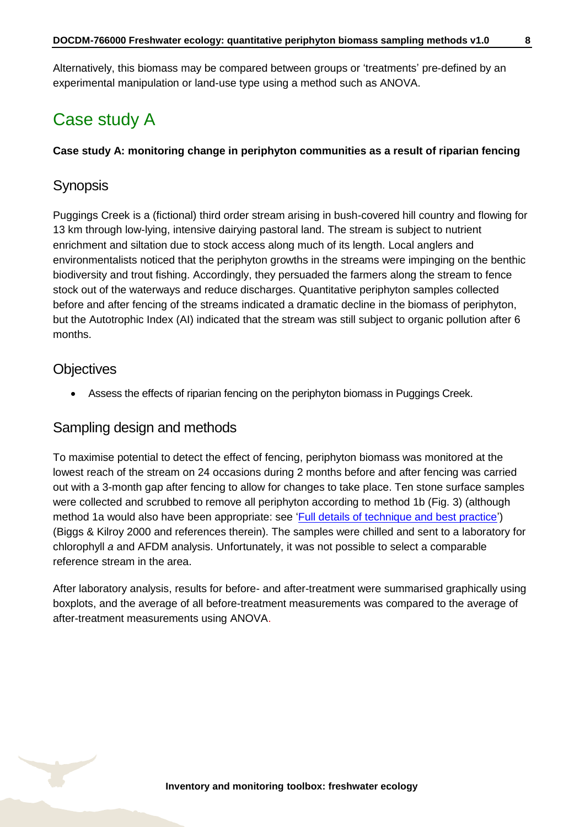Alternatively, this biomass may be compared between groups or 'treatments' pre-defined by an experimental manipulation or land-use type using a method such as ANOVA.

# <span id="page-7-0"></span>Case study A

#### **Case study A: monitoring change in periphyton communities as a result of riparian fencing**

### **Synopsis**

Puggings Creek is a (fictional) third order stream arising in bush-covered hill country and flowing for 13 km through low-lying, intensive dairying pastoral land. The stream is subject to nutrient enrichment and siltation due to stock access along much of its length. Local anglers and environmentalists noticed that the periphyton growths in the streams were impinging on the benthic biodiversity and trout fishing. Accordingly, they persuaded the farmers along the stream to fence stock out of the waterways and reduce discharges. Quantitative periphyton samples collected before and after fencing of the streams indicated a dramatic decline in the biomass of periphyton, but the Autotrophic Index (AI) indicated that the stream was still subject to organic pollution after 6 months.

### **Objectives**

Assess the effects of riparian fencing on the periphyton biomass in Puggings Creek.

### Sampling design and methods

To maximise potential to detect the effect of fencing, periphyton biomass was monitored at the lowest reach of the stream on 24 occasions during 2 months before and after fencing was carried out with a 3-month gap after fencing to allow for changes to take place. Ten stone surface samples were collected and scrubbed to remove all periphyton according to method 1b (Fig. 3) (although method 1a would also have been appropriate: see ['Full details of technique and best practice'](#page-10-0)) (Biggs & Kilroy 2000 and references therein). The samples were chilled and sent to a laboratory for chlorophyll *a* and AFDM analysis. Unfortunately, it was not possible to select a comparable reference stream in the area.

After laboratory analysis, results for before- and after-treatment were summarised graphically using boxplots, and the average of all before-treatment measurements was compared to the average of after-treatment measurements using ANOVA.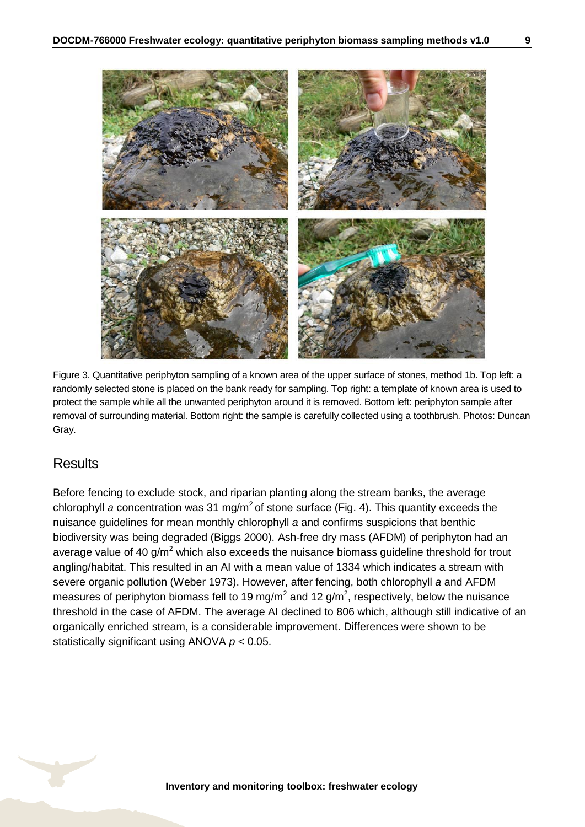

Figure 3. Quantitative periphyton sampling of a known area of the upper surface of stones, method 1b. Top left: a randomly selected stone is placed on the bank ready for sampling. Top right: a template of known area is used to protect the sample while all the unwanted periphyton around it is removed. Bottom left: periphyton sample after removal of surrounding material. Bottom right: the sample is carefully collected using a toothbrush. Photos: Duncan Gray.

### **Results**

Before fencing to exclude stock, and riparian planting along the stream banks, the average chlorophyll *a* concentration was 31 mg/m<sup>2</sup> of stone surface (Fig. 4). This quantity exceeds the nuisance guidelines for mean monthly chlorophyll *a* and confirms suspicions that benthic biodiversity was being degraded (Biggs 2000). Ash-free dry mass (AFDM) of periphyton had an average value of 40  $g/m^2$  which also exceeds the nuisance biomass guideline threshold for trout angling/habitat. This resulted in an AI with a mean value of 1334 which indicates a stream with severe organic pollution (Weber 1973). However, after fencing, both chlorophyll *a* and AFDM measures of periphyton biomass fell to 19 mg/m<sup>2</sup> and 12 g/m<sup>2</sup>, respectively, below the nuisance threshold in the case of AFDM. The average AI declined to 806 which, although still indicative of an organically enriched stream, is a considerable improvement. Differences were shown to be statistically significant using ANOVA *p* < 0.05.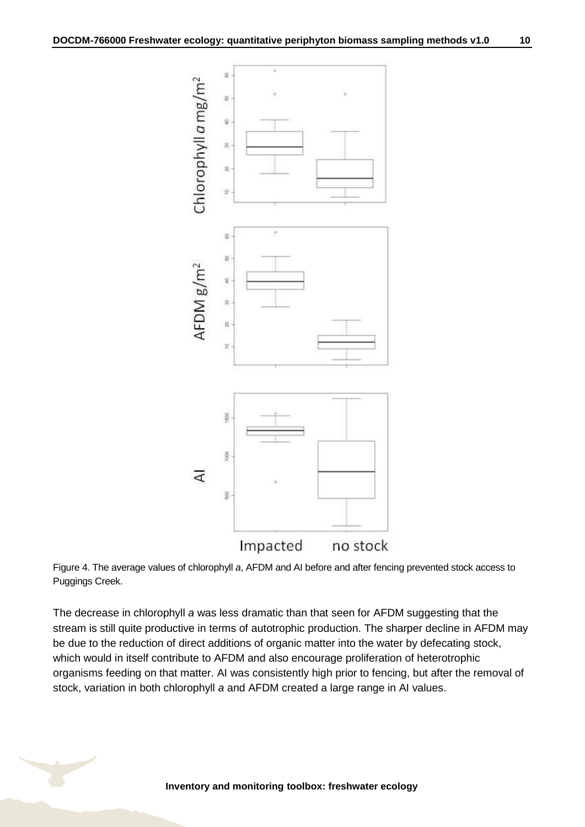![](_page_9_Figure_1.jpeg)

Figure 4. The average values of chlorophyll *a*, AFDM and AI before and after fencing prevented stock access to Puggings Creek.

The decrease in chlorophyll *a* was less dramatic than that seen for AFDM suggesting that the stream is still quite productive in terms of autotrophic production. The sharper decline in AFDM may be due to the reduction of direct additions of organic matter into the water by defecating stock, which would in itself contribute to AFDM and also encourage proliferation of heterotrophic organisms feeding on that matter. AI was consistently high prior to fencing, but after the removal of stock, variation in both chlorophyll *a* and AFDM created a large range in AI values.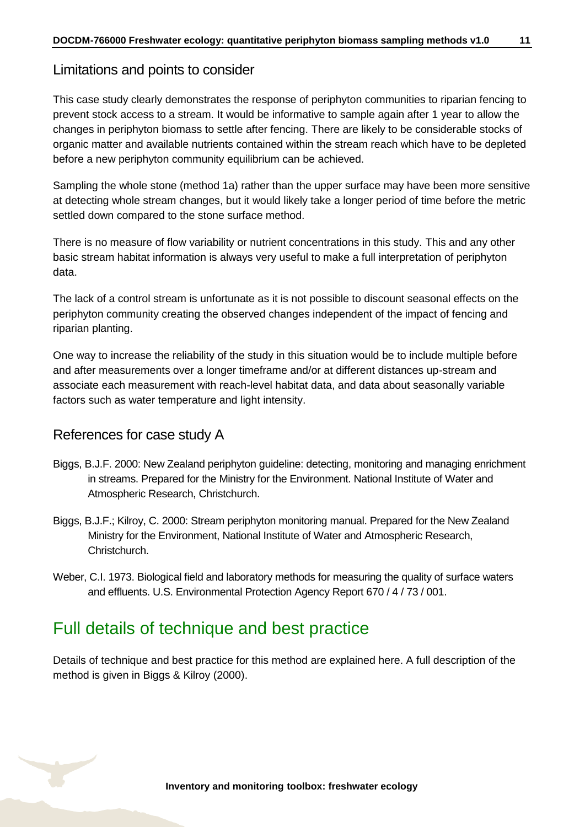### Limitations and points to consider

This case study clearly demonstrates the response of periphyton communities to riparian fencing to prevent stock access to a stream. It would be informative to sample again after 1 year to allow the changes in periphyton biomass to settle after fencing. There are likely to be considerable stocks of organic matter and available nutrients contained within the stream reach which have to be depleted before a new periphyton community equilibrium can be achieved.

Sampling the whole stone (method 1a) rather than the upper surface may have been more sensitive at detecting whole stream changes, but it would likely take a longer period of time before the metric settled down compared to the stone surface method.

There is no measure of flow variability or nutrient concentrations in this study. This and any other basic stream habitat information is always very useful to make a full interpretation of periphyton data.

The lack of a control stream is unfortunate as it is not possible to discount seasonal effects on the periphyton community creating the observed changes independent of the impact of fencing and riparian planting.

One way to increase the reliability of the study in this situation would be to include multiple before and after measurements over a longer timeframe and/or at different distances up-stream and associate each measurement with reach-level habitat data, and data about seasonally variable factors such as water temperature and light intensity.

### References for case study A

- Biggs, B.J.F. 2000: New Zealand periphyton guideline: detecting, monitoring and managing enrichment in streams. Prepared for the Ministry for the Environment. National Institute of Water and Atmospheric Research, Christchurch.
- Biggs, B.J.F.; Kilroy, C. 2000: Stream periphyton monitoring manual. Prepared for the New Zealand Ministry for the Environment, National Institute of Water and Atmospheric Research, Christchurch.
- Weber, C.I. 1973. Biological field and laboratory methods for measuring the quality of surface waters and effluents. U.S. Environmental Protection Agency Report 670 / 4 / 73 / 001.

### <span id="page-10-0"></span>Full details of technique and best practice

Details of technique and best practice for this method are explained here. A full description of the method is given in Biggs & Kilroy (2000).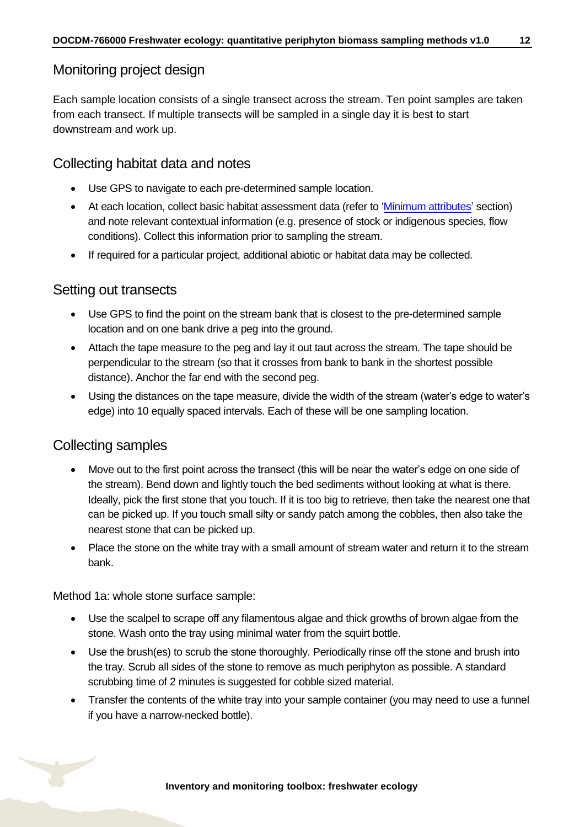### Monitoring project design

Each sample location consists of a single transect across the stream. Ten point samples are taken from each transect. If multiple transects will be sampled in a single day it is best to start downstream and work up.

### Collecting habitat data and notes

- Use GPS to navigate to each pre-determined sample location.
- At each location, collect basic habitat assessment data (refer to ['Minimum attributes'](#page-4-0) section) and note relevant contextual information (e.g. presence of stock or indigenous species, flow conditions). Collect this information prior to sampling the stream.
- If required for a particular project, additional abiotic or habitat data may be collected.

#### Setting out transects

- Use GPS to find the point on the stream bank that is closest to the pre-determined sample location and on one bank drive a peg into the ground.
- Attach the tape measure to the peg and lay it out taut across the stream. The tape should be perpendicular to the stream (so that it crosses from bank to bank in the shortest possible distance). Anchor the far end with the second peg.
- Using the distances on the tape measure, divide the width of the stream (water's edge to water's edge) into 10 equally spaced intervals. Each of these will be one sampling location.

### Collecting samples

- Move out to the first point across the transect (this will be near the water's edge on one side of the stream). Bend down and lightly touch the bed sediments without looking at what is there. Ideally, pick the first stone that you touch. If it is too big to retrieve, then take the nearest one that can be picked up. If you touch small silty or sandy patch among the cobbles, then also take the nearest stone that can be picked up.
- Place the stone on the white tray with a small amount of stream water and return it to the stream bank.

Method 1a: whole stone surface sample:

- Use the scalpel to scrape off any filamentous algae and thick growths of brown algae from the stone. Wash onto the tray using minimal water from the squirt bottle.
- Use the brush(es) to scrub the stone thoroughly. Periodically rinse off the stone and brush into the tray. Scrub all sides of the stone to remove as much periphyton as possible. A standard scrubbing time of 2 minutes is suggested for cobble sized material.
- Transfer the contents of the white tray into your sample container (you may need to use a funnel if you have a narrow-necked bottle).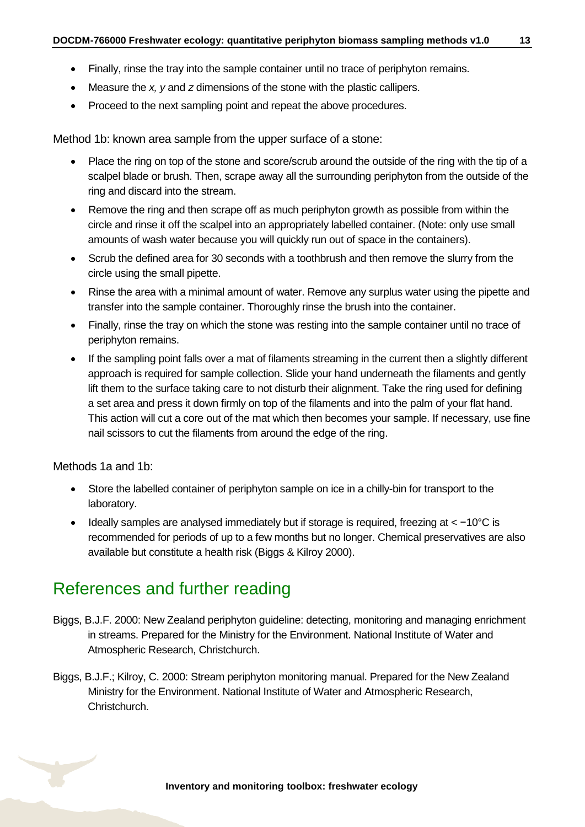- Finally, rinse the tray into the sample container until no trace of periphyton remains.
- Measure the *x, y* and *z* dimensions of the stone with the plastic callipers.
- Proceed to the next sampling point and repeat the above procedures.

Method 1b: known area sample from the upper surface of a stone:

- Place the ring on top of the stone and score/scrub around the outside of the ring with the tip of a scalpel blade or brush. Then, scrape away all the surrounding periphyton from the outside of the ring and discard into the stream.
- Remove the ring and then scrape off as much periphyton growth as possible from within the circle and rinse it off the scalpel into an appropriately labelled container. (Note: only use small amounts of wash water because you will quickly run out of space in the containers).
- Scrub the defined area for 30 seconds with a toothbrush and then remove the slurry from the circle using the small pipette.
- Rinse the area with a minimal amount of water. Remove any surplus water using the pipette and transfer into the sample container. Thoroughly rinse the brush into the container.
- Finally, rinse the tray on which the stone was resting into the sample container until no trace of periphyton remains.
- If the sampling point falls over a mat of filaments streaming in the current then a slightly different approach is required for sample collection. Slide your hand underneath the filaments and gently lift them to the surface taking care to not disturb their alignment. Take the ring used for defining a set area and press it down firmly on top of the filaments and into the palm of your flat hand. This action will cut a core out of the mat which then becomes your sample. If necessary, use fine nail scissors to cut the filaments from around the edge of the ring.

Methods 1a and 1b:

- Store the labelled container of periphyton sample on ice in a chilly-bin for transport to the laboratory.
- Ideally samples are analysed immediately but if storage is required, freezing at < −10°C is recommended for periods of up to a few months but no longer. Chemical preservatives are also available but constitute a health risk (Biggs & Kilroy 2000).

# <span id="page-12-0"></span>References and further reading

- Biggs, B.J.F. 2000: New Zealand periphyton guideline: detecting, monitoring and managing enrichment in streams. Prepared for the Ministry for the Environment. National Institute of Water and Atmospheric Research, Christchurch.
- Biggs, B.J.F.; Kilroy, C. 2000: Stream periphyton monitoring manual. Prepared for the New Zealand Ministry for the Environment. National Institute of Water and Atmospheric Research, Christchurch.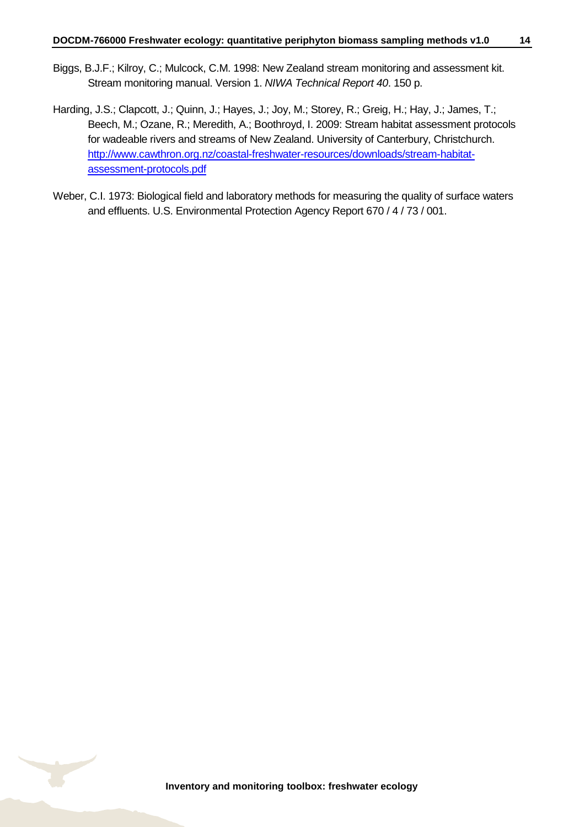- Biggs, B.J.F.; Kilroy, C.; Mulcock, C.M. 1998: New Zealand stream monitoring and assessment kit. Stream monitoring manual. Version 1. *NIWA Technical Report 40*. 150 p.
- Harding, J.S.; Clapcott, J.; Quinn, J.; Hayes, J.; Joy, M.; Storey, R.; Greig, H.; Hay, J.; James, T.; Beech, M.; Ozane, R.; Meredith, A.; Boothroyd, I. 2009: Stream habitat assessment protocols for wadeable rivers and streams of New Zealand. University of Canterbury, Christchurch. [http://www.cawthron.org.nz/coastal-freshwater-resources/downloads/stream-habitat](http://www.cawthron.org.nz/coastal-freshwater-resources/downloads/stream-habitat-assessment-protocols.pdf)[assessment-protocols.pdf](http://www.cawthron.org.nz/coastal-freshwater-resources/downloads/stream-habitat-assessment-protocols.pdf)
- Weber, C.I. 1973: Biological field and laboratory methods for measuring the quality of surface waters and effluents. U.S. Environmental Protection Agency Report 670 / 4 / 73 / 001.

![](_page_13_Picture_5.jpeg)